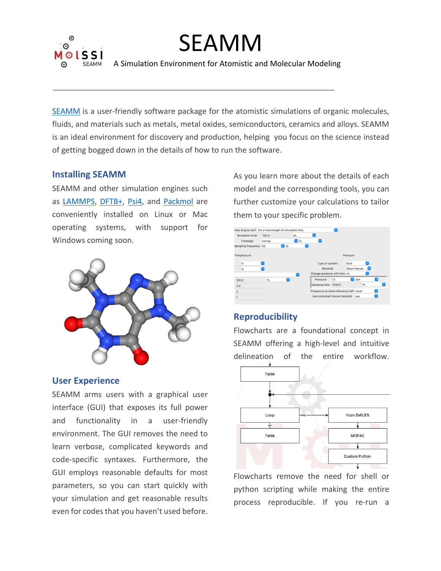

# SEAMM

A Simulation Environment for Atomistic and Molecular Modeling

SEAMM is a user-friendly software package for the atomistic simulations of organic molecules, fluids, and materials such as metals, metal oxides, semiconductors, ceramics and alloys. SEAMM is an ideal environment for discovery and production, helping you focus on the science instead of getting bogged down in the details of how to run the software.

## **Installing SEAMM**

SEAMM and other simulation engines such as LAMMPS, DFTB+, Psi4, and Packmol are conveniently installed on Linux or Mac operating systems, with support for Windows coming soon.



### **User Experience**

SEAMM arms users with a graphical user interface (GUI) that exposes its full power and functionality in a user-friendly environment. The GUI removes the need to learn verbose, complicated keywords and code-specific syntaxes. Furthermore, the GUI employs reasonable defaults for most parameters, so you can start quickly with your simulation and get reasonable results even for codes that you haven't used before. As you learn more about the details of each model and the corresponding tools, you can further customize your calculations to tailor them to your specific problem.



## **Reproducibility**

Flowcharts are a foundational concept in SEAMM offering a high-level and intuitive delineation of the entire workflow.



Flowcharts remove the need for shell or python scripting while making the entire process reproducible. If you re-run a